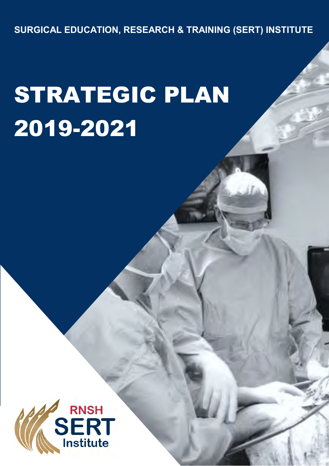**SURGICAL EDUCATION, RESEARCH & TRAINING (SERT) INSTITUTE**

# STRATEGIC PLAN 2019-2021

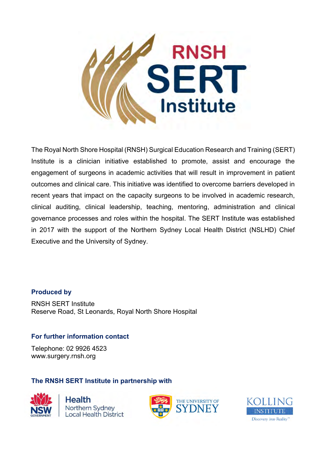

The Royal North Shore Hospital (RNSH) Surgical Education Research and Training (SERT) Institute is a clinician initiative established to promote, assist and encourage the engagement of surgeons in academic activities that will result in improvement in patient outcomes and clinical care. This initiative was identified to overcome barriers developed in recent years that impact on the capacity surgeons to be involved in academic research, clinical auditing, clinical leadership, teaching, mentoring, administration and clinical governance processes and roles within the hospital. The SERT Institute was established in 2017 with the support of the Northern Sydney Local Health District (NSLHD) Chief Executive and the University of Sydney.

#### **Produced by**

RNSH SERT Institute Reserve Road, St Leonards, Royal North Shore Hospital

#### **For further information contact**

Telephone: 02 9926 4523 www.surgery.rnsh.org

#### **The RNSH SERT Institute in partnership with**



**Health** Northern Sydney **Local Health District** 



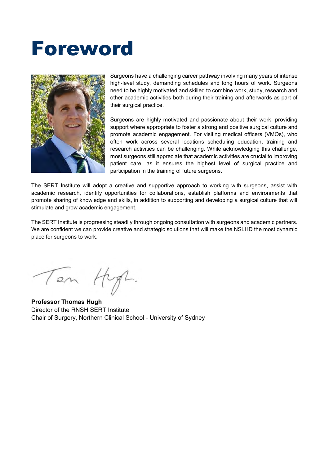### Foreword



Surgeons have a challenging career pathway involving many years of intense high-level study, demanding schedules and long hours of work. Surgeons need to be highly motivated and skilled to combine work, study, research and other academic activities both during their training and afterwards as part of their surgical practice.

Surgeons are highly motivated and passionate about their work, providing support where appropriate to foster a strong and positive surgical culture and promote academic engagement. For visiting medical officers (VMOs), who often work across several locations scheduling education, training and research activities can be challenging. While acknowledging this challenge, most surgeons still appreciate that academic activities are crucial to improving patient care, as it ensures the highest level of surgical practice and participation in the training of future surgeons.

The SERT Institute will adopt a creative and supportive approach to working with surgeons, assist with academic research, identify opportunities for collaborations, establish platforms and environments that promote sharing of knowledge and skills, in addition to supporting and developing a surgical culture that will stimulate and grow academic engagement.

The SERT Institute is progressing steadily through ongoing consultation with surgeons and academic partners. We are confident we can provide creative and strategic solutions that will make the NSLHD the most dynamic place for surgeons to work.

Ten Hyp.

**Professor Thomas Hugh** Director of the RNSH SERT Institute Chair of Surgery, Northern Clinical School - University of Sydney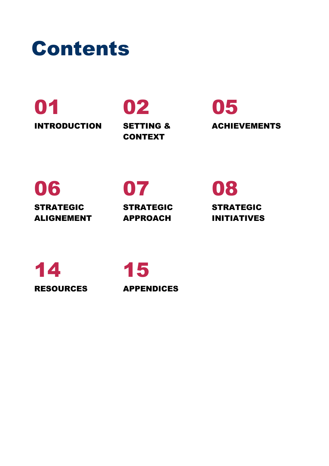

# 01 02 05

INTRODUCTION SETTING & CONTEXT

ACHIEVEMENTS

### 06 07 08

STRATEGIC ALIGNEMENT

STRATEGIC APPROACH

STRATEGIC INITIATIVES

14 15 RESOURCES APPENDICES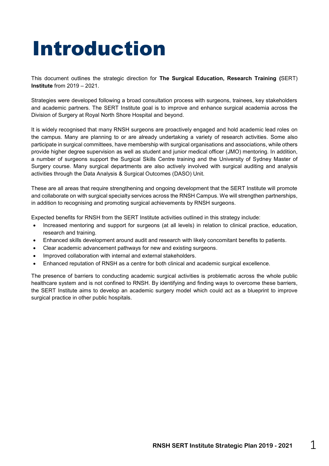## Introduction

This document outlines the strategic direction for **The Surgical Education, Research Training (**SERT) **Institute** from 2019 – 2021.

Strategies were developed following a broad consultation process with surgeons, trainees, key stakeholders and academic partners. The SERT Institute goal is to improve and enhance surgical academia across the Division of Surgery at Royal North Shore Hospital and beyond.

It is widely recognised that many RNSH surgeons are proactively engaged and hold academic lead roles on the campus. Many are planning to or are already undertaking a variety of research activities. Some also participate in surgical committees, have membership with surgical organisations and associations, while others provide higher degree supervision as well as student and junior medical officer (JMO) mentoring. In addition, a number of surgeons support the Surgical Skills Centre training and the University of Sydney Master of Surgery course. Many surgical departments are also actively involved with surgical auditing and analysis activities through the Data Analysis & Surgical Outcomes (DASO) Unit.

These are all areas that require strengthening and ongoing development that the SERT Institute will promote and collaborate on with surgical specialty services across the RNSH Campus. We will strengthen partnerships, in addition to recognising and promoting surgical achievements by RNSH surgeons.

Expected benefits for RNSH from the SERT Institute activities outlined in this strategy include:

- Increased mentoring and support for surgeons (at all levels) in relation to clinical practice, education, research and training.
- Enhanced skills development around audit and research with likely concomitant benefits to patients.
- Clear academic advancement pathways for new and existing surgeons.
- Improved collaboration with internal and external stakeholders.
- Enhanced reputation of RNSH as a centre for both clinical and academic surgical excellence.

The presence of barriers to conducting academic surgical activities is problematic across the whole public healthcare system and is not confined to RNSH. By identifying and finding ways to overcome these barriers, the SERT Institute aims to develop an academic surgery model which could act as a blueprint to improve surgical practice in other public hospitals.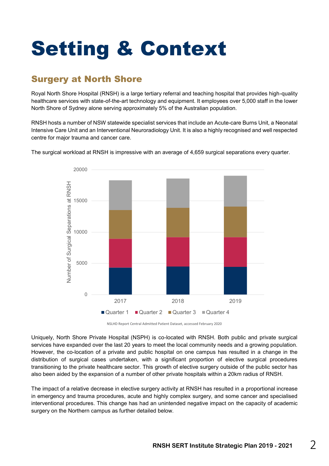## Setting & Context

### Surgery at North Shore

Royal North Shore Hospital (RNSH) is a large tertiary referral and teaching hospital that provides high-quality healthcare services with state-of-the-art technology and equipment. It employees over 5,000 staff in the lower North Shore of Sydney alone serving approximately 5% of the Australian population.

RNSH hosts a number of NSW statewide specialist services that include an Acute-care Burns Unit, a Neonatal Intensive Care Unit and an Interventional Neuroradiology Unit. It is also a highly recognised and well respected centre for major trauma and cancer care.



The surgical workload at RNSH is impressive with an average of 4,659 surgical separations every quarter.

NSLHD Report Central Admitted Patient Dataset, accessed February 2020

Uniquely, North Shore Private Hospital (NSPH) is co-located with RNSH. Both public and private surgical services have expanded over the last 20 years to meet the local community needs and a growing population. However, the co-location of a private and public hospital on one campus has resulted in a change in the distribution of surgical cases undertaken, with a significant proportion of elective surgical procedures transitioning to the private healthcare sector. This growth of elective surgery outside of the public sector has also been aided by the expansion of a number of other private hospitals within a 20km radius of RNSH.

The impact of a relative decrease in elective surgery activity at RNSH has resulted in a proportional increase in emergency and trauma procedures, acute and highly complex surgery, and some cancer and specialised interventional procedures. This change has had an unintended negative impact on the capacity of academic surgery on the Northern campus as further detailed below.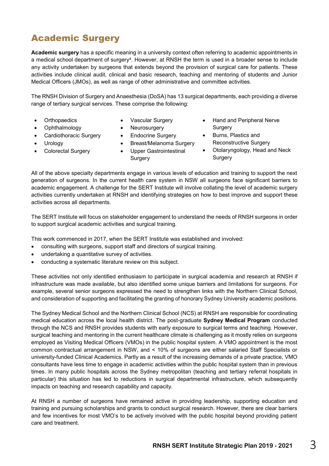### Academic Surgery

**Academic surgery** has a specific meaning in a university context often referring to academic appointments in a medical school department of surgery<sup>4</sup>. However, at RNSH the term is used in a broader sense to include any activity undertaken by surgeons that extends beyond the provision of surgical care for patients. These activities include clinical audit, clinical and basic research, teaching and mentoring of students and Junior Medical Officers (JMOs), as well as range of other administrative and committee activities.

The RNSH Division of Surgery and Anaesthesia (DoSA) has 13 surgical departments, each providing a diverse range of tertiary surgical services. These comprise the following:

- **Orthopaedics**
- Ophthalmology
- Cardiothoracic Surgery
- **Urology**
- Colorectal Surgery
- Vascular Surgery
- Neurosurgery
- Endocrine Surgery
- Breast/Melanoma Surgery
- Upper Gastrointestinal **Surgery**
- Hand and Peripheral Nerve Surgery
- Burns, Plastics and Reconstructive Surgery
- Otolaryngology, Head and Neck Surgery

All of the above specialty departments engage in various levels of education and training to support the next generation of surgeons. In the current health care system in NSW all surgeons face significant barriers to academic engagement. A challenge for the SERT Institute will involve collating the level of academic surgery activities currently undertaken at RNSH and identifying strategies on how to best improve and support these activities across all departments.

The SERT Institute will focus on stakeholder engagement to understand the needs of RNSH surgeons in order to support surgical academic activities and surgical training.

This work commenced in 2017, when the SERT Institute was established and involved:

- consulting with surgeons, support staff and directors of surgical training.
- undertaking a quantitative survey of activities.
- conducting a systematic literature review on this subject.

These activities not only identified enthusiasm to participate in surgical academia and research at RNSH if infrastructure was made available, but also identified some unique barriers and limitations for surgeons. For example, several senior surgeons expressed the need to strengthen links with the Northern Clinical School, and consideration of supporting and facilitating the granting of honorary Sydney University academic positions.

The Sydney Medical School and the Northern Clinical School (NCS) at RNSH are responsible for coordinating medical education across the local health district. The post-graduate **Sydney Medical Program** conducted through the NCS and RNSH provides students with early exposure to surgical terms and teaching. However, surgical teaching and mentoring in the current healthcare climate is challenging as it mostly relies on surgeons employed as Visiting Medical Officers (VMOs) in the public hospital system. A VMO appointment is the most common contractual arrangement in NSW, and < 10% of surgeons are either salaried Staff Specialists or university-funded Clinical Academics. Partly as a result of the increasing demands of a private practice, VMO consultants have less time to engage in academic activities within the public hospital system than in previous times. In many public hospitals across the Sydney metropolitan (teaching and tertiary referral hospitals in particular) this situation has led to reductions in surgical departmental infrastructure, which subsequently impacts on teaching and research capability and capacity.

At RNSH a number of surgeons have remained active in providing leadership, supporting education and training and pursuing scholarships and grants to conduct surgical research. However, there are clear barriers and few incentives for most VMO's to be actively involved with the public hospital beyond providing patient care and treatment.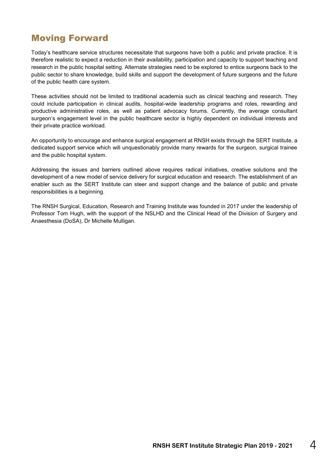### Moving Forward

Today's healthcare service structures necessitate that surgeons have both a public and private practice. It is therefore realistic to expect a reduction in their availability, participation and capacity to support teaching and research in the public hospital setting. Alternate strategies need to be explored to entice surgeons back to the public sector to share knowledge, build skills and support the development of future surgeons and the future of the public health care system.

These activities should not be limited to traditional academia such as clinical teaching and research. They could include participation in clinical audits, hospital-wide leadership programs and roles, rewarding and productive administrative roles, as well as patient advocacy forums. Currently, the average consultant surgeon's engagement level in the public healthcare sector is highly dependent on individual interests and their private practice workload.

An opportunity to encourage and enhance surgical engagement at RNSH exists through the SERT Institute, a dedicated support service which will unquestionably provide many rewards for the surgeon, surgical trainee and the public hospital system.

Addressing the issues and barriers outlined above requires radical initiatives, creative solutions and the development of a new model of service delivery for surgical education and research. The establishment of an enabler such as the SERT Institute can steer and support change and the balance of public and private responsibilities is a beginning.

The RNSH Surgical, Education, Research and Training Institute was founded in 2017 under the leadership of Professor Tom Hugh, with the support of the NSLHD and the Clinical Head of the Division of Surgery and Anaesthesia (DoSA), Dr Michelle Mulligan.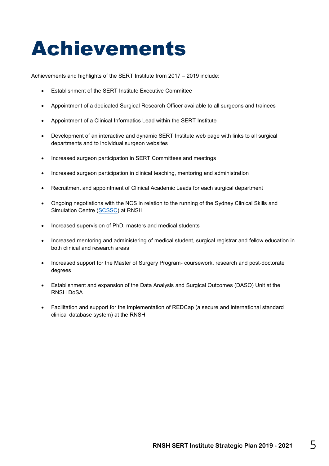### Achievements

Achievements and highlights of the SERT Institute from 2017 – 2019 include:

- **Establishment of the SERT Institute Executive Committee**
- Appointment of a dedicated Surgical Research Officer available to all surgeons and trainees
- Appointment of a Clinical Informatics Lead within the SERT Institute
- Development of an interactive and dynamic SERT Institute web page with links to all surgical departments and to individual surgeon websites
- Increased surgeon participation in SERT Committees and meetings
- Increased surgeon participation in clinical teaching, mentoring and administration
- Recruitment and appointment of Clinical Academic Leads for each surgical department
- Ongoing negotiations with the NCS in relation to the running of the Sydney Clinical Skills and Simulation Centre [\(SCSSC\)](https://www.scssc.edu.au/) at RNSH
- Increased supervision of PhD, masters and medical students
- Increased mentoring and administering of medical student, surgical registrar and fellow education in both clinical and research areas
- Increased support for the Master of Surgery Program- coursework, research and post-doctorate degrees
- Establishment and expansion of the Data Analysis and Surgical Outcomes (DASO) Unit at the RNSH DoSA
- Facilitation and support for the implementation of REDCap (a secure and international standard clinical database system) at the RNSH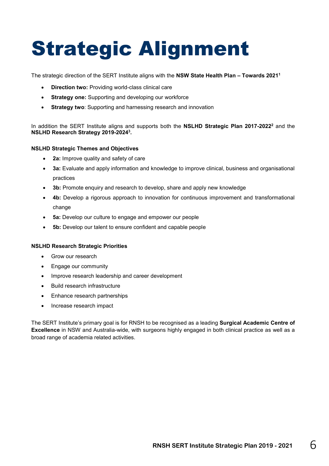## Strategic Alignment

The strategic direction of the SERT Institute aligns with the **NSW State Health Plan – Towards 2021<sup>1</sup>**

- **Direction two:** Providing world-class clinical care
- **Strategy one:** Supporting and developing our workforce
- **Strategy two**: Supporting and harnessing research and innovation

In addition the SERT Institute aligns and supports both the **NSLHD Strategic Plan 2017-2022<sup>2</sup>** and the **NSLHD Research Strategy 2019-2024<sup>3</sup> .** 

#### **NSLHD Strategic Themes and Objectives**

- **2a:** Improve quality and safety of care
- **3a:** Evaluate and apply information and knowledge to improve clinical, business and organisational practices
- **3b:** Promote enquiry and research to develop, share and apply new knowledge
- **4b:** Develop a rigorous approach to innovation for continuous improvement and transformational change
- **5a:** Develop our culture to engage and empower our people
- **5b:** Develop our talent to ensure confident and capable people

#### **NSLHD Research Strategic Priorities**

- Grow our research
- Engage our community
- Improve research leadership and career development
- Build research infrastructure
- Enhance research partnerships
- Increase research impact

The SERT Institute's primary goal is for RNSH to be recognised as a leading **Surgical Academic Centre of Excellence** in NSW and Australia-wide, with surgeons highly engaged in both clinical practice as well as a broad range of academia related activities.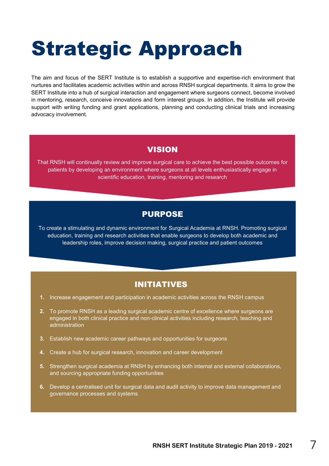## Strategic Approach

The aim and focus of the SERT Institute is to establish a supportive and expertise-rich environment that nurtures and facilitates academic activities within and across RNSH surgical departments. It aims to grow the SERT Institute into a hub of surgical interaction and engagement where surgeons connect, become involved in mentoring, research, conceive innovations and form interest groups. In addition, the Institute will provide support with writing funding and grant applications, planning and conducting clinical trials and increasing advocacy involvement.

#### VISION

That RNSH will continually review and improve surgical care to achieve the best possible outcomes for patients by developing an environment where surgeons at all levels enthusiastically engage in scientific education, training, mentoring and research

#### PURPOSE

To create a stimulating and dynamic environment for Surgical Academia at RNSH. Promoting surgical education, training and research activities that enable surgeons to develop both academic and leadership roles, improve decision making, surgical practice and patient outcomes

#### INITIATIVES

- **1.** Increase engagement and participation in academic activities across the RNSH campus
- **2.** To promote RNSH as a leading surgical academic centre of excellence where surgeons are engaged in both clinical practice and non-clinical activities including research, teaching and administration
- **3.** Establish new academic career pathways and opportunities for surgeons
- **4.** Create a hub for surgical research, innovation and career development
- **5.** Strengthen surgical academia at RNSH by enhancing both internal and external collaborations, and sourcing appropriate funding opportunities
- **6.** Develop a centralised unit for surgical data and audit activity to improve data management and governance processes and systems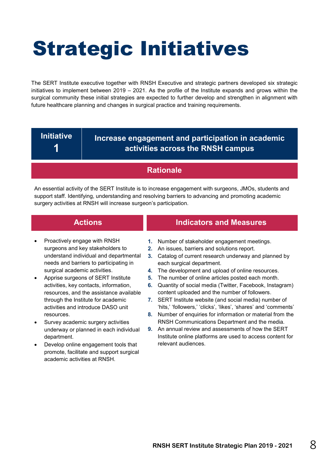## Strategic Initiatives

The SERT Institute executive together with RNSH Executive and strategic partners developed six strategic initiatives to implement between 2019 – 2021. As the profile of the Institute expands and grows within the surgical community these initial strategies are expected to further develop and strengthen in alignment with future healthcare planning and changes in surgical practice and training requirements.

**Initiative 1**

#### **Increase engagement and participation in academic activities across the RNSH campus**

#### **Rationale**

An essential activity of the SERT Institute is to increase engagement with surgeons, JMOs, students and support staff. Identifying, understanding and resolving barriers to advancing and promoting academic surgery activities at RNSH will increase surgeon's participation.

- Proactively engage with RNSH surgeons and key stakeholders to understand individual and departmental needs and barriers to participating in surgical academic activities.
- Apprise surgeons of SERT Institute activities, key contacts, information, resources, and the assistance available through the Institute for academic activities and introduce DASO unit resources.
- Survey academic surgery activities underway or planned in each individual department.
- Develop online engagement tools that promote, facilitate and support surgical academic activities at RNSH.

- **1.** Number of stakeholder engagement meetings.
- **2.** An issues, barriers and solutions report.
- **3.** Catalog of current research underway and planned by each surgical department.
- **4.** The development and upload of online resources.
- **5.** The number of online articles posted each month.
- **6.** Quantity of social media (Twitter, Facebook, Instagram) content uploaded and the number of followers.
- **7.** SERT Institute website (and social media) number of 'hits,' 'followers,' 'clicks', 'likes', 'shares' and 'comments'
- **8.** Number of enquiries for information or material from the RNSH Communications Department and the media.
- **9.** An annual review and assessments of how the SERT Institute online platforms are used to access content for relevant audiences.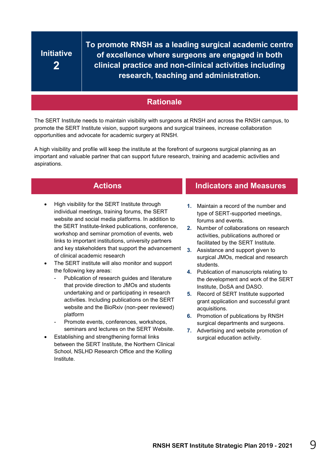### **Initiative 2**

**To promote RNSH as a leading surgical academic centre of excellence where surgeons are engaged in both clinical practice and non-clinical activities including research, teaching and administration.**

#### **Rationale**

The SERT Institute needs to maintain visibility with surgeons at RNSH and across the RNSH campus, to promote the SERT Institute vision, support surgeons and surgical trainees, increase collaboration opportunities and advocate for academic surgery at RNSH.

A high visibility and profile will keep the institute at the forefront of surgeons surgical planning as an important and valuable partner that can support future research, training and academic activities and aspirations.

- High visibility for the SERT Institute through individual meetings, training forums, the SERT website and social media platforms. In addition to the SERT Institute-linked publications, conference, workshop and seminar promotion of events, web links to important institutions, university partners and key stakeholders that support the advancement of clinical academic research
- The SERT institute will also monitor and support the following key areas:
	- Publication of research guides and literature that provide direction to JMOs and students undertaking and or participating in research activities. Including publications on the SERT website and the BioRxiv (non-peer reviewed) platform
	- Promote events, conferences, workshops, seminars and lectures on the SERT Website.
- Establishing and strengthening formal links between the SERT Institute, the Northern Clinical School, NSLHD Research Office and the Kolling Institute.

- **1.** Maintain a record of the number and type of SERT-supported meetings, forums and events.
- **2.** Number of collaborations on research activities, publications authored or facilitated by the SERT Institute.
- **3.** Assistance and support given to surgical JMOs, medical and research students.
- **4.** Publication of manuscripts relating to the development and work of the SERT Institute, DoSA and DASO.
- **5.** Record of SERT Institute supported grant application and successful grant acquisitions.
- **6.** Promotion of publications by RNSH surgical departments and surgeons.
- **7.** Advertising and website promotion of surgical education activity.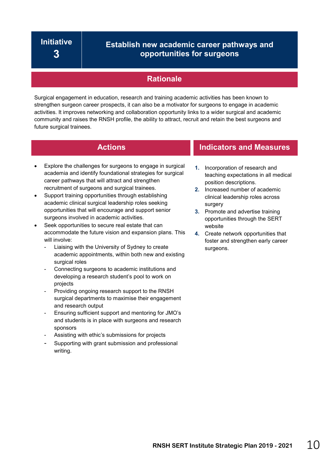#### **Establish new academic career pathways and opportunities for surgeons**

#### **Rationale**

Surgical engagement in education, research and training academic activities has been known to strengthen surgeon career prospects, it can also be a motivator for surgeons to engage in academic activities. It improves networking and collaboration opportunity links to a wider surgical and academic community and raises the RNSH profile, the ability to attract, recruit and retain the best surgeons and future surgical trainees.

- Explore the challenges for surgeons to engage in surgical academia and identify foundational strategies for surgical career pathways that will attract and strengthen recruitment of surgeons and surgical trainees.
- Support training opportunities through establishing academic clinical surgical leadership roles seeking opportunities that will encourage and support senior surgeons involved in academic activities.
- Seek opportunities to secure real estate that can accommodate the future vision and expansion plans. This will involve:
	- Liaising with the University of Sydney to create academic appointments, within both new and existing surgical roles
	- Connecting surgeons to academic institutions and developing a research student's pool to work on projects
	- Providing ongoing research support to the RNSH surgical departments to maximise their engagement and research output
	- Ensuring sufficient support and mentoring for JMO's and students is in place with surgeons and research sponsors
	- Assisting with ethic's submissions for projects
	- Supporting with grant submission and professional writing.

- **1.** Incorporation of research and teaching expectations in all medical position descriptions.
- **2.** Increased number of academic clinical leadership roles across surgery
- **3.** Promote and advertise training opportunities through the SERT website
- **4.** Create network opportunities that foster and strengthen early career surgeons.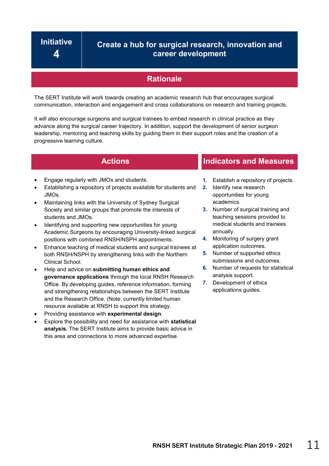#### **Create a hub for surgical research, innovation and career development**

#### **Rationale**

The SERT Institute will work towards creating an academic research hub that encourages surgical communication, interaction and engagement and cross collaborations on research and training projects.

It will also encourage surgeons and surgical trainees to embed research in clinical practice as they advance along the surgical career trajectory. In addition, support the development of senior surgeon leadership, mentoring and teaching skills by guiding them in their support roles and the creation of a progressive learning culture.

- Engage regularly with JMOs and students.
- Establishing a repository of projects available for students and JMOs.
- Maintaining links with the University of Sydney Surgical Society and similar groups that promote the interests of students and JMOs.
- Identifying and supporting new opportunities for young Academic Surgeons by encouraging University-linked surgical positions with combined RNSH/NSPH appointments.
- Enhance teaching of medical students and surgical trainees at both RNSH/NSPH by strengthening links with the Northern Clinical School.
- Help and advice on **submitting human ethics and governance applications** through the local RNSH Research Office. By developing guides, reference information, forming and strengthening relationships between the SERT Institute and the Research Office. (Note: currently limited human resource available at RNSH to support this strategy.
- Providing assistance with **experimental design**.
- Explore the possibility and need for assistance with **statistical analysis.** The SERT Institute aims to provide basic advice in this area and connections to more advanced expertise.

- **1.** Establish a repository of projects.
- **2.** Identify new research opportunities for young academics.
- **3.** Number of surgical training and teaching sessions provided to medical students and trainees annually.
- **4.** Monitoring of surgery grant application outcomes.
- **5.** Number of supported ethics submissions and outcomes.
- **6.** Number of requests for statistical analysis support.
- **7.** Development of ethics applications guides.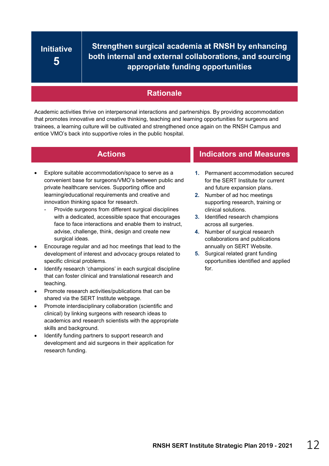### **Initiative 5**

**Strengthen surgical academia at RNSH by enhancing both internal and external collaborations, and sourcing appropriate funding opportunities**

#### **Rationale**

Academic activities thrive on interpersonal interactions and partnerships. By providing accommodation that promotes innovative and creative thinking, teaching and learning opportunities for surgeons and trainees, a learning culture will be cultivated and strengthened once again on the RNSH Campus and entice VMO's back into supportive roles in the public hospital.

- Explore suitable accommodation/space to serve as a convenient base for surgeons/VMO's between public and private healthcare services. Supporting office and learning/educational requirements and creative and innovation thinking space for research.
	- Provide surgeons from different surgical disciplines with a dedicated, accessible space that encourages face to face interactions and enable them to instruct, advise, challenge, think, design and create new surgical ideas.
- Encourage regular and ad hoc meetings that lead to the development of interest and advocacy groups related to specific clinical problems.
- Identify research 'champions' in each surgical discipline that can foster clinical and translational research and teaching.
- Promote research activities/publications that can be shared via the SERT Institute webpage.
- Promote interdisciplinary collaboration (scientific and clinical) by linking surgeons with research ideas to academics and research scientists with the appropriate skills and background.
- Identify funding partners to support research and development and aid surgeons in their application for research funding.

- **1.** Permanent accommodation secured for the SERT Institute for current and future expansion plans.
- **2.** Number of ad hoc meetings supporting research, training or clinical solutions.
- **3.** Identified research champions across all surgeries.
- **4.** Number of surgical research collaborations and publications annually on SERT Website.
- **5.** Surgical related grant funding opportunities identified and applied for.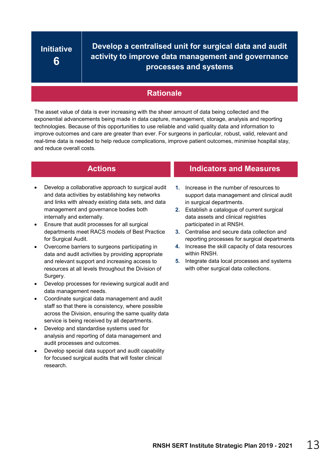### **Initiative 6**

**Develop a centralised unit for surgical data and audit activity to improve data management and governance processes and systems**

#### **Rationale**

The asset value of data is ever increasing with the sheer amount of data being collected and the exponential advancements being made in data capture, management, storage, analysis and reporting technologies. Because of this opportunities to use reliable and valid quality data and information to improve outcomes and care are greater than ever. For surgeons in particular, robust, valid, relevant and real-time data is needed to help reduce complications, improve patient outcomes, minimise hospital stay, and reduce overall costs.

- Develop a collaborative approach to surgical audit and data activities by establishing key networks and links with already existing data sets, and data management and governance bodies both internally and externally.
- Ensure that audit processes for all surgical departments meet RACS models of Best Practice for Surgical Audit.
- Overcome barriers to surgeons participating in data and audit activities by providing appropriate and relevant support and increasing access to resources at all levels throughout the Division of Surgery.
- Develop processes for reviewing surgical audit and data management needs.
- Coordinate surgical data management and audit staff so that there is consistency, where possible across the Division, ensuring the same quality data service is being received by all departments.
- Develop and standardise systems used for analysis and reporting of data management and audit processes and outcomes.
- Develop special data support and audit capability for focused surgical audits that will foster clinical research.

- **1.** Increase in the number of resources to support data management and clinical audit in surgical departments.
- **2.** Establish a catalogue of current surgical data assets and clinical registries participated in at RNSH.
- **3.** Centralise and secure data collection and reporting processes for surgical departments
- **4.** Increase the skill capacity of data resources within RNSH.
- **5.** Integrate data local processes and systems with other surgical data collections.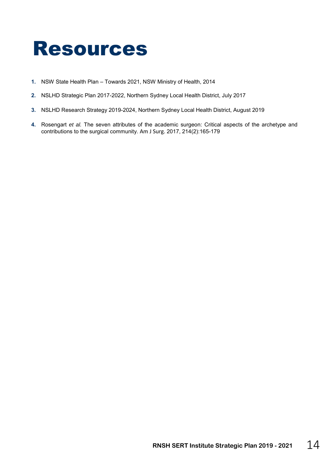### Resources

- **1.** NSW State Health Plan Towards 2021, NSW Ministry of Health, 2014
- **2.** NSLHD Strategic Plan 2017-2022, Northern Sydney Local Health District, July 2017
- **3.** NSLHD Research Strategy 2019-2024, Northern Sydney Local Health District, August 2019
- **4.** Rosengart *et al.* The seven attributes of the academic surgeon: Critical aspects of the archetype and contributions to the surgical community. [Am J Surg.](https://www.ncbi.nlm.nih.gov/pubmed/?term=The+seven+attributes+of+the+academic+surgeon%3A+Critical+aspects+of+the+archetype+and+contributions+to+the+surgical+community) 2017, 214(2):165-179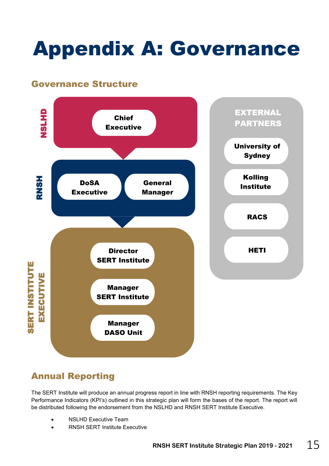## Appendix A: Governance

#### Governance Structure



### Annual Reporting

The SERT Institute will produce an annual progress report in line with RNSH reporting requirements. The Key Performance Indicators (KPI's) outlined in this strategic plan will form the bases of the report. The report will be distributed following the endorsement from the NSLHD and RNSH SERT Institute Executive.

- NSLHD Executive Team
- RNSH SERT Institute Executive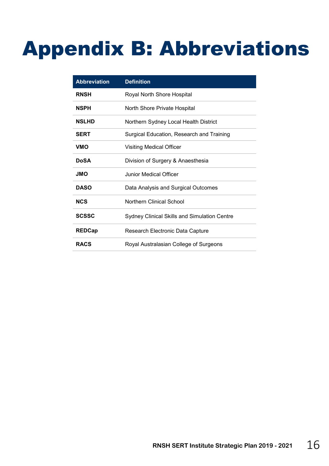## Appendix B: Abbreviations

| <b>Abbreviation</b> | <b>Definition</b>                            |
|---------------------|----------------------------------------------|
| <b>RNSH</b>         | Royal North Shore Hospital                   |
| <b>NSPH</b>         | North Shore Private Hospital                 |
| <b>NSLHD</b>        | Northern Sydney Local Health District        |
| <b>SERT</b>         | Surgical Education, Research and Training    |
| <b>VMO</b>          | <b>Visiting Medical Officer</b>              |
| <b>DoSA</b>         | Division of Surgery & Anaesthesia            |
| <b>OML</b>          | Junior Medical Officer                       |
| <b>DASO</b>         | Data Analysis and Surgical Outcomes          |
| <b>NCS</b>          | Northern Clinical School                     |
| <b>SCSSC</b>        | Sydney Clinical Skills and Simulation Centre |
| <b>REDCap</b>       | Research Electronic Data Capture             |
| <b>RACS</b>         | Royal Australasian College of Surgeons       |